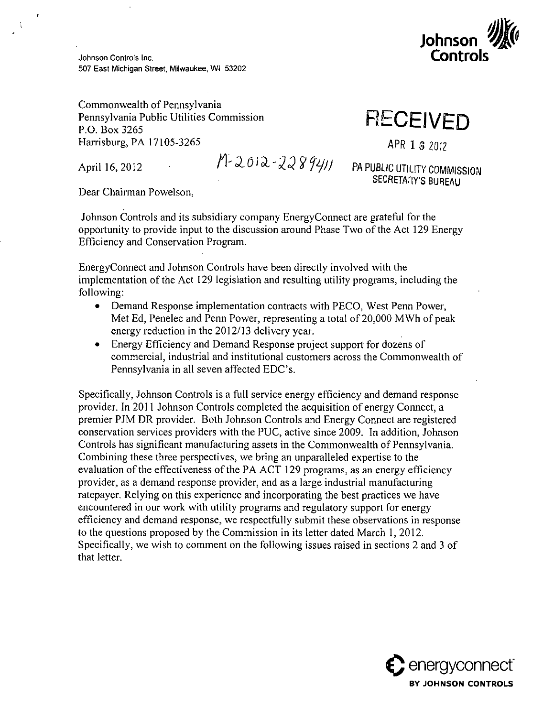

Johnson Controls Inc.<br>507 East Michigan Street, Milwaukee, Wil 53202

Commonwealth of Pennsylvania Pennsylvania Public Utilities Commission P.O. Box 3265<br>Harrisburg, PA 17105-3265 *PHIMITISON* **PUBLIC UTILITIES COMMISSION RP-OPINSYLVANIA PUBLIC PUBLIC PUBLIC PUBLIC PUBLIC PUBLIC PUBLIC PUBLIC PUBLIC PUBLIC PUBLIC PUBLIC PUBLIC PUBLIC PUBLIC PUBLIC PUBLIC PUBLIC PUBLIC PUBLIC PUBLIC PUBLIC PUBLIC PUB** 

÷

 $P\sim2012$   $P\sim2012$  P.O. Box 3264411 PA DURING UTILITY COMMON

April 16, 2012  $\begin{array}{ccc} & I & \downarrow & \downarrow & \downarrow & \downarrow & \downarrow & \downarrow & \downarrow & \downarrow & \downarrow & \end{array}$  PA PUBLIC UTILITY COMMISSION

**RECEIVED** 

Dear Chairman Powelson,

Johnson Controls and its subsidiary company Energy Connect are grateful for the Johnson Controls and its subsidiary company EnergyConnect are grateful for the<br>Spectrupity to provide input to the discussion organo Phose Two of the Act 120 E opportunity to provide input to the discussion around Phase Two of the Act 129 Energy Efficiency and Conservation Program.

EnergyConnect and Johnson Controls have been directly involved with the implementation of the Act 129 legislation and resulting utility programs, including the following:

- Demand Response implementation contracts with PECO, West Penn Power. Met Ed, Penelec and Penn Power, representing a total of 20,000 MWh of peak energy reduction in the 2012/13 delivery year.
- Energy Efficiency and Demand Response project support for dozens of commercial, industrial and institutional customers across the Commonwealth of Pennsylvania in all seven affected EDC's.

Specifically, Johnson Controls is a full service energy efficiency and demand response provider. In 2011 Johnson Controls completed the acquisition of energy Connect, a premier PJM DR provider. Both Johnson Controls and Energy Connect are registered conservation services providers with the PUC, active since 2009. In addition, Johnson Controls has significant manufacturing assets in the Commonwealth of Pennsylvania. Combining these three perspectives, we bring an unparalleled expertise to the evaluation of the effectiveness of the PA ACT 129 programs, as an energy efficiency provider, as a demand response provider, and as a large industrial manufacturing ratepayer. Relying on this experience and incorporating the best practices we have encountered in our work with utility programs and regulatory support for energy efficiency and demand response, we respectfully submit these observations in response to the questions proposed by the Commission in its letter dated March 1, 2012. Specifically, we wish to comment on the following issues raised in sections 2 and 3 of that letter.

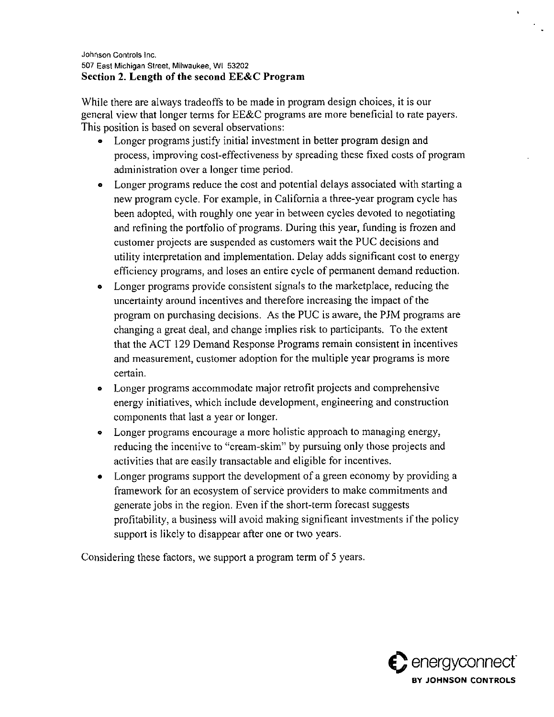Johnson Controls Inc. 507 East Michigan Street, Milwaukee, WI 53202 **Section 2. Length of the second EE&C Program** 

While there are always tradeoffs to be made in program design choices, it is our general view that longer terms for EE&C programs are more beneficial to rate payers. This position is based on several observations:

- Longer programs justify initial investment in better program design and process, improving cost-effectiveness by spreading these fixed costs of program administration over a longer time period.
- o Longer programs reduce the cost and potential delays associated with starting a new program cycle. For example, in California a three-year program cycle has been adopted, with roughly one year in between cycles devoted to negotiating and refining the portfolio of programs. During this year, funding is frozen and customer projects are suspended as customers wait the PUC decisions and utility interpretation and implementation. Delay adds significant cost to energy efficiency programs, and loses an entire cycle of permanent demand reduction.
- Longer programs provide consistent signals to the marketplace, reducing the uncertainty around incentives and therefore increasing the impact of the program on purchasing decisions. As the PUC is aware, the PJM programs are changing a great deal, and change implies risk to participants. To the extent that the ACT 129 Demand Response Programs remain consistent in incentives and measurement, customer adoption for the multiple year programs is more certain.
- o Longer programs accommodate major retrofit projects and comprehensive energy initiatives, which include development, engineering and construction components that last a year or longer.
- o Longer programs encourage a more holistic approach to managing energy, reducing the incentive to "cream-skim" by pursuing only those projects and activities that are easily transactable and eligible for incentives.
- Longer programs support the development of a green economy by providing a framework for an ecosystem of service providers to make commitments and generate jobs in the region. Even if the short-term forecast suggests profitability, a business will avoid making significant investments if the policy support is likely to disappear after one or two years.

Considering these factors, we support a program term of 5 years.

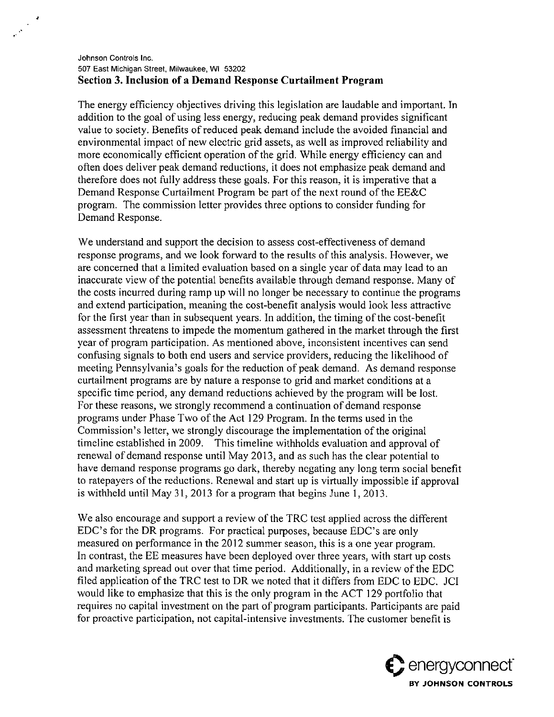## Johnson Controls Inc. 507 East Michigan Street, Milwaukee, WI 53202 **Section 3. Inclusion of a Demand Response Curtailment Program**

 $\frac{1}{\sqrt{2\pi}}\sum_{i=1}^{N}\frac{1}{\sqrt{2\pi}}\left(\frac{1}{\sqrt{2\pi}}\right)^{2}\left(\frac{1}{\sqrt{2\pi}}\right)^{2}$ 

The energy efficiency objectives driving this legislation are laudable and important. In addition to the goal of using less energy, reducing peak demand provides significant value to society. Benefits of reduced peak demand include the avoided financial and environmental impact of new electric grid assets, as well as improved reliability and more economically efficient operation of the grid. While energy efficiency can and often does deliver peak demand reductions, it does not emphasize peak demand and therefore does not fiilly address these goals. For this reason, it is imperative that a Demand Response Curtailment Program be part of the next round of the EE&C program. The commission letter provides three options to consider funding for Demand Response.

We understand and support the decision to assess cost-effectiveness of demand response programs, and we look forward to the results of this analysis. However, we are concerned that a limited evaluation based on a single year of data may lead to an inaccurate view of the potential benefits available through demand response. Many of the costs incurred during ramp up will no longer be necessary to continue the programs and extend participation, meaning the cost-benefit analysis would look less attractive for the first year than in subsequent years. In addition, the timing of the cost-benefit assessment threatens to impede the momentum gathered in the market through the first year of program participation. As mentioned above, inconsistent incentives can send confusing signals to both end users and service providers, reducing the likelihood of meeting Pennsylvania's goals for the reduction of peak demand. As demand response curtailment programs are by nature a response to grid and market conditions at a specific time period, any demand reductions achieved by the program will be lost. For these reasons, we strongly recommend a continuation of demand response programs under Phase Two of the Act 129 Program. In the terms used in the Commission's letter, we strongly discourage the implementation of the original timeline established in 2009. This timeline withholds evaluation and approval of renewal of demand response until May 2013, and as such has the clear potential to have demand response programs go dark, thereby negating any long term social benefit to ratepayers of the reductions. Renewal and start up is virtually impossible if approval is withheld until May 31, 2013 for a program that begins June 1, 2013.

We also encourage and support a review of the TRC test applied across the different EDC's for the DR programs. For practical purposes, because EDC's are only measured on performance in the 2012 summer season, this is a one year program. In contrast, the EE measures have been deployed over three years, with start up costs and marketing spread out over that time period. Additionally, in a review of the EDC filed application of the TRC test to DR we noted that it differs from EDC to EDC. JCI would like to emphasize that this is the only program in the ACT 129 portfolio that requires no capital investment on the part of program participants. Participants are paid for proactive participation, not capital-intensive investments. The customer benefit is

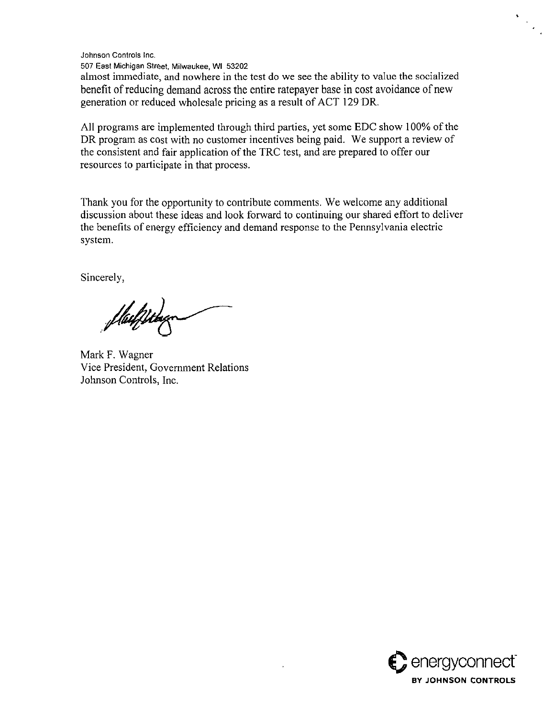Johnson Controls Inc.

507 East Michigan Street, Milwaukee, WI 53202

almost immediate, and nowhere in the test do we see the ability to value the socialized benefit of reducing demand across the entire ratepayer base in cost avoidance of new generation or reduced wholesale pricing as a result of ACT 129 DR.

All programs are implemented through third parties, yet some EDC show 100% of the DR program as cost with no customer incentives being paid. We support a review of the consistent and fair application of the TRC test, and are prepared to offer our resources to participate in that process.

Thank you for the opportunity to contribute comments. We welcome any additional discussion about these ideas and look forward to continuing our shared effort to deliver the benefits of energy efficiency and demand response to the Pennsylvania electric system.

Sincerely,

Mark F. Wagner Vice President, Government Relations Johnson Controls. Inc.